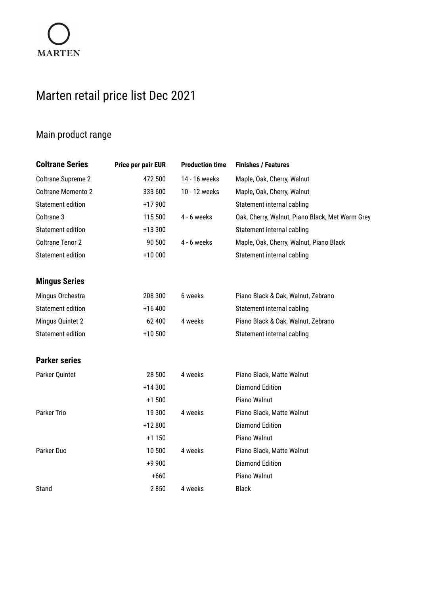## Marten retail price list Dec 2021

## Main product range

| <b>Coltrane Series</b>   | Price per pair EUR | <b>Production time</b> | <b>Finishes / Features</b>                      |
|--------------------------|--------------------|------------------------|-------------------------------------------------|
| Coltrane Supreme 2       | 472 500            | 14 - 16 weeks          | Maple, Oak, Cherry, Walnut                      |
| Coltrane Momento 2       | 333 600            | 10 - 12 weeks          | Maple, Oak, Cherry, Walnut                      |
| Statement edition        | +17 900            |                        | Statement internal cabling                      |
| Coltrane 3               | 115 500            | $4 - 6$ weeks          | Oak, Cherry, Walnut, Piano Black, Met Warm Grey |
| Statement edition        | +13 300            |                        | Statement internal cabling                      |
| <b>Coltrane Tenor 2</b>  | 90 500             | $4 - 6$ weeks          | Maple, Oak, Cherry, Walnut, Piano Black         |
| <b>Statement edition</b> | +10 000            |                        | Statement internal cabling                      |
| <b>Mingus Series</b>     |                    |                        |                                                 |
| Mingus Orchestra         | 208 300            | 6 weeks                | Piano Black & Oak, Walnut, Zebrano              |
| <b>Statement edition</b> | +16 400            |                        | Statement internal cabling                      |
| Mingus Quintet 2         | 62 400             | 4 weeks                | Piano Black & Oak, Walnut, Zebrano              |
| <b>Statement edition</b> | +10 500            |                        | Statement internal cabling                      |
| <b>Parker series</b>     |                    |                        |                                                 |
| Parker Quintet           | 28 500             | 4 weeks                | Piano Black, Matte Walnut                       |
|                          | +14 300            |                        | <b>Diamond Edition</b>                          |
|                          | $+1500$            |                        | Piano Walnut                                    |
| Parker Trio              | 19 300             | 4 weeks                | Piano Black, Matte Walnut                       |
|                          | +12 800            |                        | <b>Diamond Edition</b>                          |
|                          | $+1150$            |                        | Piano Walnut                                    |
| Parker Duo               | 10 500             | 4 weeks                | Piano Black, Matte Walnut                       |
|                          | +9 900             |                        | <b>Diamond Edition</b>                          |
|                          | $+660$             |                        | Piano Walnut                                    |
| Stand                    | 2850               | 4 weeks                | <b>Black</b>                                    |